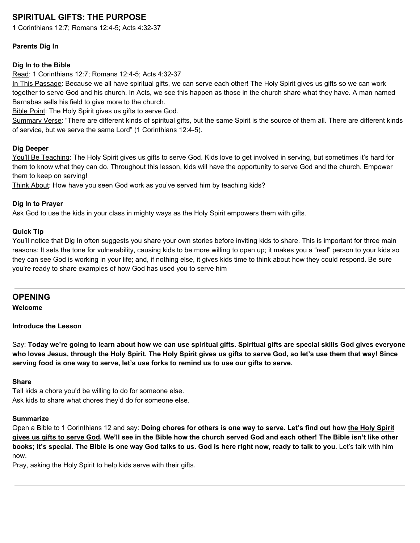# **SPIRITUAL GIFTS: THE PURPOSE**

1 Corinthians 12:7; Romans 12:4-5; Acts 4:32-37

### **Parents Dig In**

### **Dig In to the Bible**

Read: 1 Corinthians 12:7; Romans 12:4-5; Acts 4:32-37

In This Passage: Because we all have spiritual gifts, we can serve each other! The Holy Spirit gives us gifts so we can work together to serve God and his church. In Acts, we see this happen as those in the church share what they have. A man named Barnabas sells his field to give more to the church.

Bible Point: The Holy Spirit gives us gifts to serve God.

Summary Verse: "There are different kinds of spiritual gifts, but the same Spirit is the source of them all. There are different kinds of service, but we serve the same Lord" (1 Corinthians 12:4-5).

#### **Dig Deeper**

You'll Be Teaching: The Holy Spirit gives us gifts to serve God. Kids love to get involved in serving, but sometimes it's hard for them to know what they can do. Throughout this lesson, kids will have the opportunity to serve God and the church. Empower them to keep on serving!

Think About: How have you seen God work as you've served him by teaching kids?

#### **Dig In to Prayer**

Ask God to use the kids in your class in mighty ways as the Holy Spirit empowers them with gifts.

#### **Quick Tip**

You'll notice that Dig In often suggests you share your own stories before inviting kids to share. This is important for three main reasons: It sets the tone for vulnerability, causing kids to be more willing to open up; it makes you a "real" person to your kids so they can see God is working in your life; and, if nothing else, it gives kids time to think about how they could respond. Be sure you're ready to share examples of how God has used you to serve him

### **OPENING**

**Welcome**

**Introduce the Lesson**

Say: Today we're going to learn about how we can use spiritual gifts. Spiritual gifts are special skills God gives everyone who loves Jesus, through the Holy Spirit. The Holy Spirit gives us gifts to serve God, so let's use them that way! Since **serving food is one way to serve, let's use forks to remind us to use our gifts to serve.**

## **Share**

Tell kids a chore you'd be willing to do for someone else. Ask kids to share what chores they'd do for someone else.

## **Summarize**

Open a Bible to 1 Corinthians 12 and say: Doing chores for others is one way to serve. Let's find out how the Holy Spirit gives us gifts to serve God. We'll see in the Bible how the church served God and each other! The Bible isn't like other books; it's special. The Bible is one way God talks to us. God is here right now, ready to talk to you. Let's talk with him now.

Pray, asking the Holy Spirit to help kids serve with their gifts.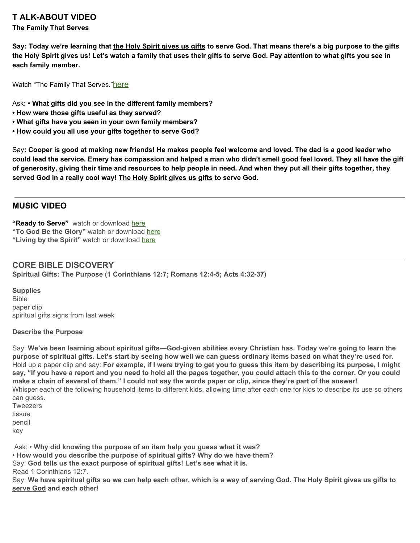## **T ALK-ABOUT VIDEO**

#### **The Family That Serves**

Say: Today we're learning that the Holy Spirit gives us gifts to serve God. That means there's a big purpose to the gifts the Holy Spirit gives us! Let's watch a family that uses their gifts to serve God. Pay attention to what gifts you see in **each family member.**

Watch "The Family That Serves."[here](https://vimeo.com/345117322)

Ask**: • What gifts did you see in the different family members?**

- **• How were those gifts useful as they served?**
- **• What gifts have you seen in your own family members?**
- **• How could you all use your gifts together to serve God?**

Say: Cooper is good at making new friends! He makes people feel welcome and loved. The dad is a good leader who could lead the service. Emery has compassion and helped a man who didn't smell good feel loved. They all have the gift of generosity, giving their time and resources to help people in need. And when they put all their gifts together, they **served God in a really cool way! The Holy Spirit gives us gifts to serve God.**

## **MUSIC VIDEO**

**"Ready to Serve"** watch or downloa[d](https://vimeo.com/345114087) [here](https://vimeo.com/345114087) **"To God Be the Glory"** watch or download [here](https://vimeo.com/345114456) **"Living by the Spirit"** watch or download [here](https://vimeo.com/345114007)

**CORE BIBLE DISCOVERY Spiritual Gifts: The Purpose (1 Corinthians 12:7; Romans 12:4-5; Acts 4:32-37)**

**Supplies** Bible paper clip spiritual gifts signs from last week

#### **Describe the Purpose**

Say: We've been learning about spiritual gifts—God-given abilities every Christian has. Today we're going to learn the purpose of spiritual gifts. Let's start by seeing how well we can guess ordinary items based on what they're used for. Hold up a paper clip and say: For example, if I were trying to get you to guess this item by describing its purpose, I might say, "If you have a report and you need to hold all the pages together, you could attach this to the corner. Or you could make a chain of several of them." I could not say the words paper or clip, since they're part of the answer! Whisper each of the following household items to different kids, allowing time after each one for kids to describe its use so others can quess. **Tweezers** 

tissue pencil key

Ask: • **Why did knowing the purpose of an item help you guess what it was?**

• **How would you describe the purpose of spiritual gifts? Why do we have them?**

Say: **God tells us the exact purpose of spiritual gifts! Let's see what it is.** Read 1 Corinthians 12:7.

Say: We have spiritual gifts so we can help each other, which is a way of serving God. The Holy Spirit gives us gifts to **serve God and each other!**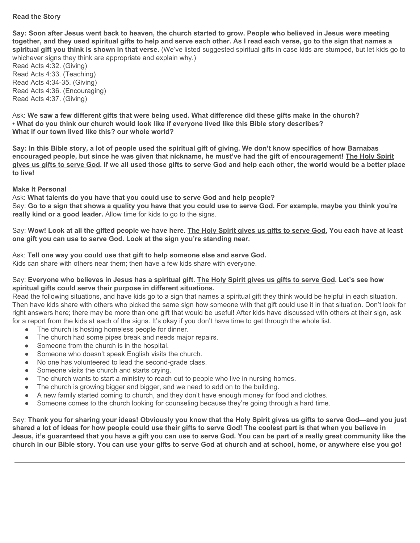#### **Read the Story**

Say: Soon after Jesus went back to heaven, the church started to grow. People who believed in Jesus were meeting together, and they used spiritual gifts to help and serve each other. As I read each verse, go to the sign that names a **spiritual gift you think is shown in that verse.** (We've listed suggested spiritual gifts in case kids are stumped, but let kids go to whichever signs they think are appropriate and explain why.)

Read Acts 4:32. (Giving) Read Acts 4:33. (Teaching) Read Acts 4:34-35. (Giving) Read Acts 4:36. (Encouraging) Read Acts 4:37. (Giving)

Ask: We saw a few different gifts that were being used. What difference did these gifts make in the church? **• What do you think our church would look like if everyone lived like this Bible story describes? What if our town lived like this? our whole world?**

Say: In this Bible story, a lot of people used the spiritual gift of giving. We don't know specifics of how Barnabas encouraged people, but since he was given that nickname, he must've had the gift of encouragement! The Holy Spirit gives us gifts to serve God. If we all used those gifts to serve God and help each other, the world would be a better place **to live!**

#### **Make It Personal**

Ask: **What talents do you have that you could use to serve God and help people?** Say: Go to a sign that shows a quality you have that you could use to serve God. For example, maybe you think you're **really kind or a good leader.** Allow time for kids to go to the signs.

Say: Wow! Look at all the gifted people we have here. The Holy Spirit gives us gifts to serve God. You each have at least **one gift you can use to serve God. Look at the sign you're standing near.**

Ask: **Tell one way you could use that gift to help someone else and serve God.** Kids can share with others near them; then have a few kids share with everyone.

#### Say: Everyone who believes in Jesus has a spiritual gift. The Holy Spirit gives us gifts to serve God. Let's see how **spiritual gifts could serve their purpose in different situations.**

Read the following situations, and have kids go to a sign that names a spiritual gift they think would be helpful in each situation. Then have kids share with others who picked the same sign how someone with that gift could use it in that situation. Don't look for right answers here; there may be more than one gift that would be useful! After kids have discussed with others at their sign, ask for a report from the kids at each of the signs. It's okay if you don't have time to get through the whole list.

- The church is hosting homeless people for dinner.
- The church had some pipes break and needs major repairs.
- Someone from the church is in the hospital.
- Someone who doesn't speak English visits the church.
- No one has volunteered to lead the second-grade class.
- Someone visits the church and starts crying.
- The church wants to start a ministry to reach out to people who live in nursing homes.
- The church is growing bigger and bigger, and we need to add on to the building.
- A new family started coming to church, and they don't have enough money for food and clothes.
- Someone comes to the church looking for counseling because they're going through a hard time.

Say: Thank you for sharing your ideas! Obviously you know that the Holy Spirit gives us gifts to serve God—and you just shared a lot of ideas for how people could use their gifts to serve God! The coolest part is that when you believe in Jesus, it's guaranteed that you have a gift you can use to serve God. You can be part of a really great community like the church in our Bible story. You can use your gifts to serve God at church and at school, home, or anywhere else you go!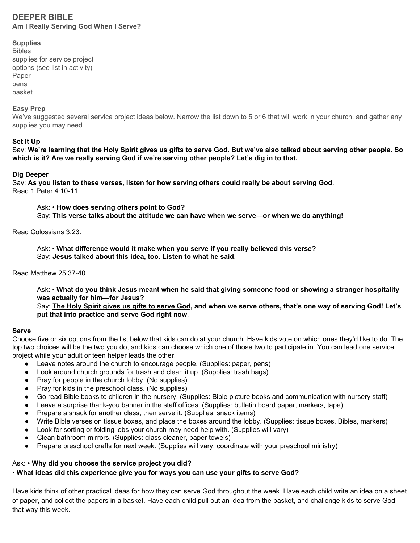## **DEEPER BIBLE Am I Really Serving God When I Serve?**

#### **Supplies**

Bibles supplies for service project options (see list in activity) Paper pens basket

#### **Easy Prep**

We've suggested several service project ideas below. Narrow the list down to 5 or 6 that will work in your church, and gather any supplies you may need.

#### **Set It Up**

Say: We're learning that the Holy Spirit gives us gifts to serve God. But we've also talked about serving other people. So **which is it? Are we really serving God if we're serving other people? Let's dig in to that.**

#### **Dig Deeper**

Say: **As you listen to these verses, listen for how serving others could really be about serving God**. Read 1 Peter 4:10-11.

Ask: • **How does serving others point to God?** Say: **This verse talks about the attitude we can have when we serve—or when we do anything!**

Read Colossians 3:23.

Ask: • **What difference would it make when you serve if you really believed this verse?** Say: **Jesus talked about this idea, too. Listen to what he said**.

Read Matthew 25:37-40.

Ask: • What do you think Jesus meant when he said that giving someone food or showing a stranger hospitality **was actually for him—for Jesus?**

Say: The Holy Spirit gives us gifts to serve God, and when we serve others, that's one way of serving God! Let's **put that into practice and serve God right now**.

#### **Serve**

Choose five or six options from the list below that kids can do at your church. Have kids vote on which ones they'd like to do. The top two choices will be the two you do, and kids can choose which one of those two to participate in. You can lead one service project while your adult or teen helper leads the other.

- Leave notes around the church to encourage people. (Supplies: paper, pens)
- Look around church grounds for trash and clean it up. (Supplies: trash bags)
- Pray for people in the church lobby. (No supplies)
- Pray for kids in the preschool class. (No supplies)
- Go read Bible books to children in the nursery. (Supplies: Bible picture books and communication with nursery staff)
- Leave a surprise thank-you banner in the staff offices. (Supplies: bulletin board paper, markers, tape)
- Prepare a snack for another class, then serve it. (Supplies: snack items)
- Write Bible verses on tissue boxes, and place the boxes around the lobby. (Supplies: tissue boxes, Bibles, markers)
- Look for sorting or folding jobs your church may need help with. (Supplies will vary)
- Clean bathroom mirrors. (Supplies: glass cleaner, paper towels)
- Prepare preschool crafts for next week. (Supplies will vary; coordinate with your preschool ministry)

## Ask: • **Why did you choose the service project you did?**

## • **What ideas did this experience give you for ways you can use your gifts to serve God?**

Have kids think of other practical ideas for how they can serve God throughout the week. Have each child write an idea on a sheet of paper, and collect the papers in a basket. Have each child pull out an idea from the basket, and challenge kids to serve God that way this week.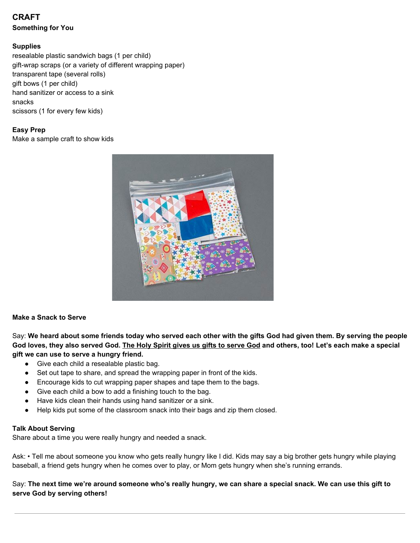## **CRAFT Something for You**

#### **Supplies**

resealable plastic sandwich bags (1 per child) gift-wrap scraps (or a variety of different wrapping paper) transparent tape (several rolls) gift bows (1 per child) hand sanitizer or access to a sink snacks scissors (1 for every few kids)

### **Easy Prep**

Make a sample craft to show kids



#### **Make a Snack to Serve**

Say: We heard about some friends today who served each other with the gifts God had given them. By serving the people God loves, they also served God. The Holy Spirit gives us gifts to serve God and others, too! Let's each make a special **gift we can use to serve a hungry friend.**

- Give each child a resealable plastic bag.
- Set out tape to share, and spread the wrapping paper in front of the kids.
- Encourage kids to cut wrapping paper shapes and tape them to the bags.
- Give each child a bow to add a finishing touch to the bag.
- Have kids clean their hands using hand sanitizer or a sink.
- Help kids put some of the classroom snack into their bags and zip them closed.

#### **Talk About Serving**

Share about a time you were really hungry and needed a snack.

Ask: • Tell me about someone you know who gets really hungry like I did. Kids may say a big brother gets hungry while playing baseball, a friend gets hungry when he comes over to play, or Mom gets hungry when she's running errands.

Say: The next time we're around someone who's really hungry, we can share a special snack. We can use this gift to **serve God by serving others!**